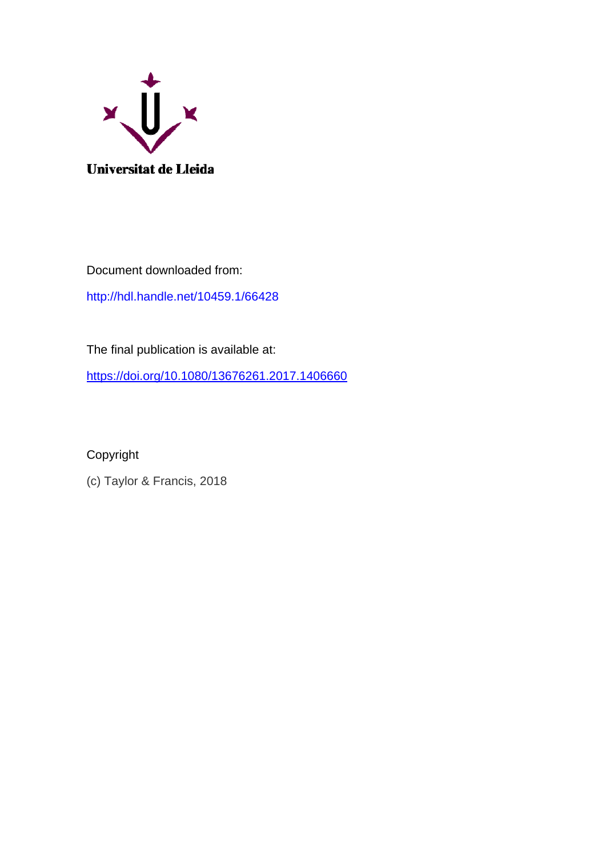

Document downloaded from:

<http://hdl.handle.net/10459.1/66428>

The final publication is available at:

<https://doi.org/10.1080/13676261.2017.1406660>

Copyright

(c) Taylor & Francis, 2018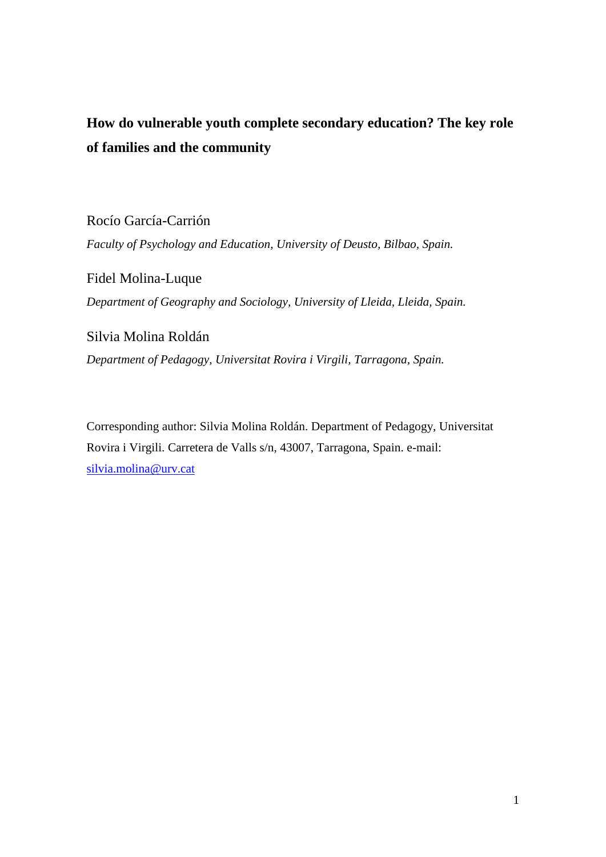# **How do vulnerable youth complete secondary education? The key role of families and the community**

Rocío García-Carrión

*Faculty of Psychology and Education, [University of Deusto,](http://www.deusto.es/) Bilbao, Spain.* 

Fidel Molina-Luque *Department of Geography and Sociology, University of Lleida, Lleida, Spain.* 

Silvia Molina Roldán *Department of Pedagogy, Universitat Rovira i Virgili, Tarragona, Spain.* 

Corresponding author: Silvia Molina Roldán. Department of Pedagogy, Universitat Rovira i Virgili. Carretera de Valls s/n, 43007, Tarragona, Spain. e-mail: [silvia.molina@urv.cat](mailto:silvia.molina@urv.cat)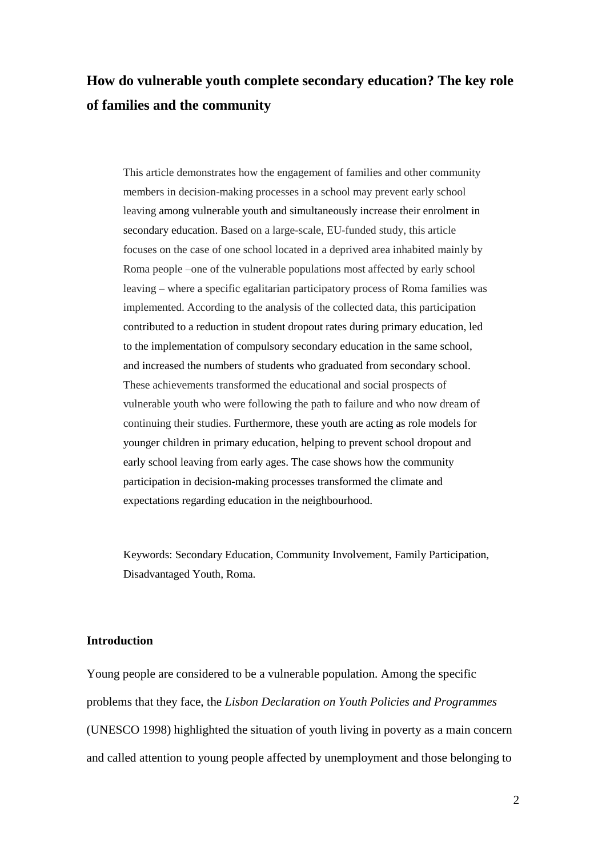# **How do vulnerable youth complete secondary education? The key role of families and the community**

This article demonstrates how the engagement of families and other community members in decision-making processes in a school may prevent early school leaving among vulnerable youth and simultaneously increase their enrolment in secondary education. Based on a large-scale, EU-funded study, this article focuses on the case of one school located in a deprived area inhabited mainly by Roma people –one of the vulnerable populations most affected by early school leaving – where a specific egalitarian participatory process of Roma families was implemented. According to the analysis of the collected data, this participation contributed to a reduction in student dropout rates during primary education, led to the implementation of compulsory secondary education in the same school, and increased the numbers of students who graduated from secondary school. These achievements transformed the educational and social prospects of vulnerable youth who were following the path to failure and who now dream of continuing their studies. Furthermore, these youth are acting as role models for younger children in primary education, helping to prevent school dropout and early school leaving from early ages. The case shows how the community participation in decision-making processes transformed the climate and expectations regarding education in the neighbourhood.

Keywords: Secondary Education, Community Involvement, Family Participation, Disadvantaged Youth, Roma.

### **Introduction**

Young people are considered to be a vulnerable population. Among the specific problems that they face, the *Lisbon Declaration on Youth Policies and Programmes*  (UNESCO 1998) highlighted the situation of youth living in poverty as a main concern and called attention to young people affected by unemployment and those belonging to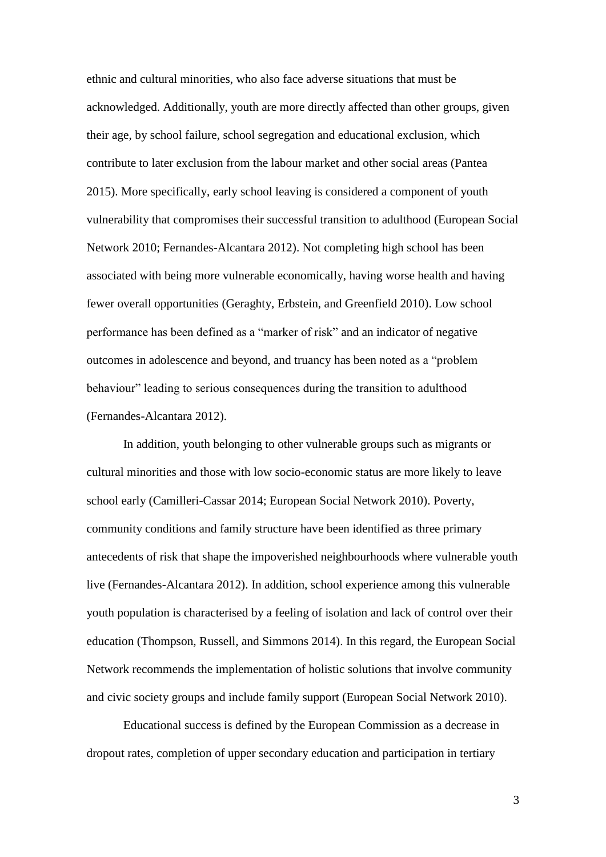ethnic and cultural minorities, who also face adverse situations that must be acknowledged. Additionally, youth are more directly affected than other groups, given their age, by school failure, school segregation and educational exclusion, which contribute to later exclusion from the labour market and other social areas (Pantea 2015). More specifically, early school leaving is considered a component of youth vulnerability that compromises their successful transition to adulthood (European Social Network 2010; Fernandes-Alcantara 2012). Not completing high school has been associated with being more vulnerable economically, having worse health and having fewer overall opportunities (Geraghty, Erbstein, and Greenfield 2010). Low school performance has been defined as a "marker of risk" and an indicator of negative outcomes in adolescence and beyond, and truancy has been noted as a "problem" behaviour" leading to serious consequences during the transition to adulthood (Fernandes-Alcantara 2012).

In addition, youth belonging to other vulnerable groups such as migrants or cultural minorities and those with low socio-economic status are more likely to leave school early (Camilleri-Cassar 2014; European Social Network 2010). Poverty, community conditions and family structure have been identified as three primary antecedents of risk that shape the impoverished neighbourhoods where vulnerable youth live (Fernandes-Alcantara 2012). In addition, school experience among this vulnerable youth population is characterised by a feeling of isolation and lack of control over their education (Thompson, Russell, and Simmons 2014). In this regard, the European Social Network recommends the implementation of holistic solutions that involve community and civic society groups and include family support (European Social Network 2010).

Educational success is defined by the European Commission as a decrease in dropout rates, completion of upper secondary education and participation in tertiary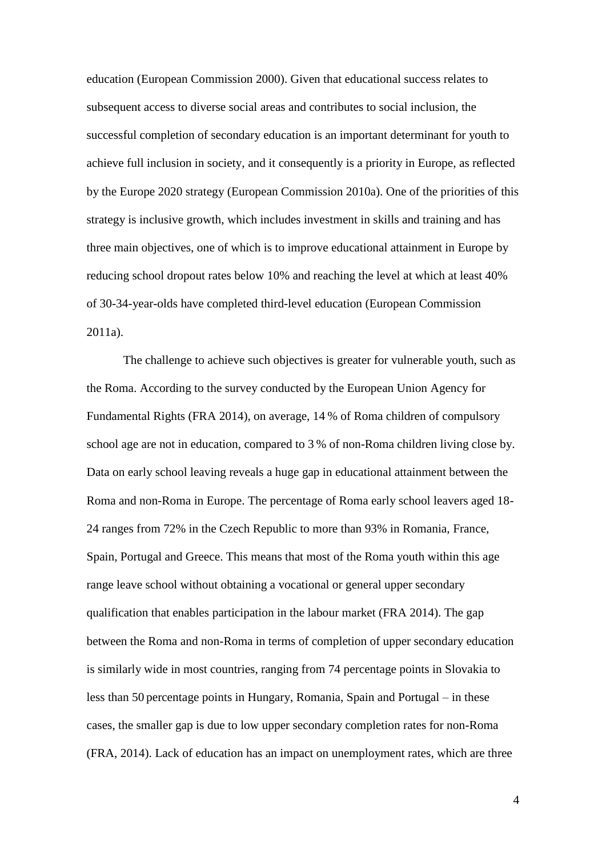education (European Commission 2000). Given that educational success relates to subsequent access to diverse social areas and contributes to social inclusion, the successful completion of secondary education is an important determinant for youth to achieve full inclusion in society, and it consequently is a priority in Europe, as reflected by the Europe 2020 strategy (European Commission 2010a). One of the priorities of this strategy is inclusive growth, which includes investment in skills and training and has three main objectives, one of which is to improve educational attainment in Europe by reducing school dropout rates below 10% and reaching the level at which at least 40% of 30-34-year-olds have completed third-level education (European Commission 2011a).

The challenge to achieve such objectives is greater for vulnerable youth, such as the Roma. According to the survey conducted by the European Union Agency for Fundamental Rights (FRA 2014), on average, 14 % of Roma children of compulsory school age are not in education, compared to 3 % of non-Roma children living close by. Data on early school leaving reveals a huge gap in educational attainment between the Roma and non-Roma in Europe. The percentage of Roma early school leavers aged 18- 24 ranges from 72% in the Czech Republic to more than 93% in Romania, France, Spain, Portugal and Greece. This means that most of the Roma youth within this age range leave school without obtaining a vocational or general upper secondary qualification that enables participation in the labour market (FRA 2014). The gap between the Roma and non-Roma in terms of completion of upper secondary education is similarly wide in most countries, ranging from 74 percentage points in Slovakia to less than 50 percentage points in Hungary, Romania, Spain and Portugal – in these cases, the smaller gap is due to low upper secondary completion rates for non-Roma (FRA, 2014). Lack of education has an impact on unemployment rates, which are three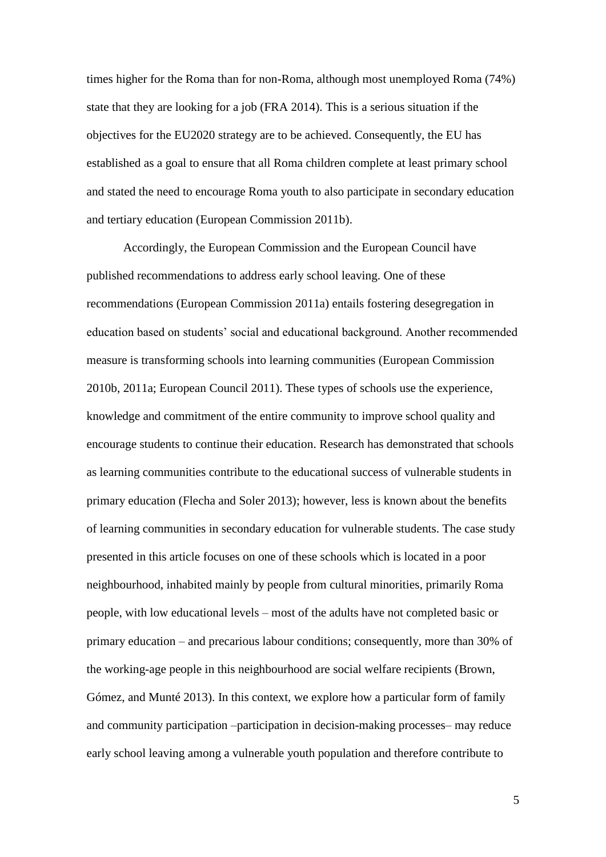times higher for the Roma than for non-Roma, although most unemployed Roma (74%) state that they are looking for a job (FRA 2014). This is a serious situation if the objectives for the EU2020 strategy are to be achieved. Consequently, the EU has established as a goal to ensure that all Roma children complete at least primary school and stated the need to encourage Roma youth to also participate in secondary education and tertiary education (European Commission 2011b).

Accordingly, the European Commission and the European Council have published recommendations to address early school leaving. One of these recommendations (European Commission 2011a) entails fostering desegregation in education based on students' social and educational background. Another recommended measure is transforming schools into learning communities (European Commission 2010b, 2011a; European Council 2011). These types of schools use the experience, knowledge and commitment of the entire community to improve school quality and encourage students to continue their education. Research has demonstrated that schools as learning communities contribute to the educational success of vulnerable students in primary education (Flecha and Soler 2013); however, less is known about the benefits of learning communities in secondary education for vulnerable students. The case study presented in this article focuses on one of these schools which is located in a poor neighbourhood, inhabited mainly by people from cultural minorities, primarily Roma people, with low educational levels – most of the adults have not completed basic or primary education – and precarious labour conditions; consequently, more than 30% of the working-age people in this neighbourhood are social welfare recipients (Brown, Gómez, and Munté 2013). In this context, we explore how a particular form of family and community participation –participation in decision-making processes– may reduce early school leaving among a vulnerable youth population and therefore contribute to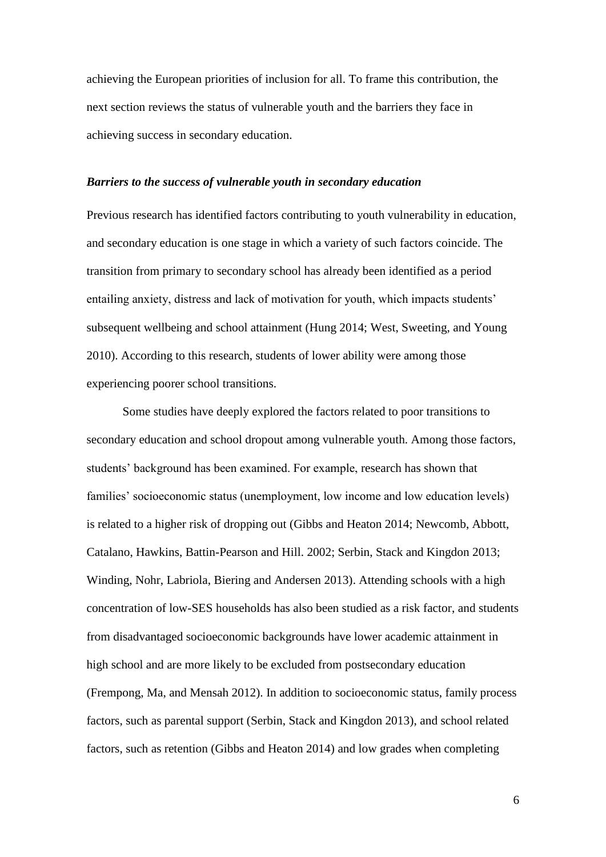achieving the European priorities of inclusion for all. To frame this contribution, the next section reviews the status of vulnerable youth and the barriers they face in achieving success in secondary education.

#### *Barriers to the success of vulnerable youth in secondary education*

Previous research has identified factors contributing to youth vulnerability in education, and secondary education is one stage in which a variety of such factors coincide. The transition from primary to secondary school has already been identified as a period entailing anxiety, distress and lack of motivation for youth, which impacts students' subsequent wellbeing and school attainment (Hung 2014; West, Sweeting, and Young 2010). According to this research, students of lower ability were among those experiencing poorer school transitions.

Some studies have deeply explored the factors related to poor transitions to secondary education and school dropout among vulnerable youth. Among those factors, students' background has been examined. For example, research has shown that families' socioeconomic status (unemployment, low income and low education levels) is related to a higher risk of dropping out (Gibbs and Heaton 2014; Newcomb, Abbott, Catalano, Hawkins, Battin-Pearson and Hill. 2002; Serbin, Stack and Kingdon 2013; Winding, Nohr, Labriola, Biering and Andersen 2013). Attending schools with a high concentration of low-SES households has also been studied as a risk factor, and students from disadvantaged socioeconomic backgrounds have lower academic attainment in high school and are more likely to be excluded from postsecondary education (Frempong, Ma, and Mensah 2012). In addition to socioeconomic status, family process factors, such as parental support (Serbin, Stack and Kingdon 2013), and school related factors, such as retention (Gibbs and Heaton 2014) and low grades when completing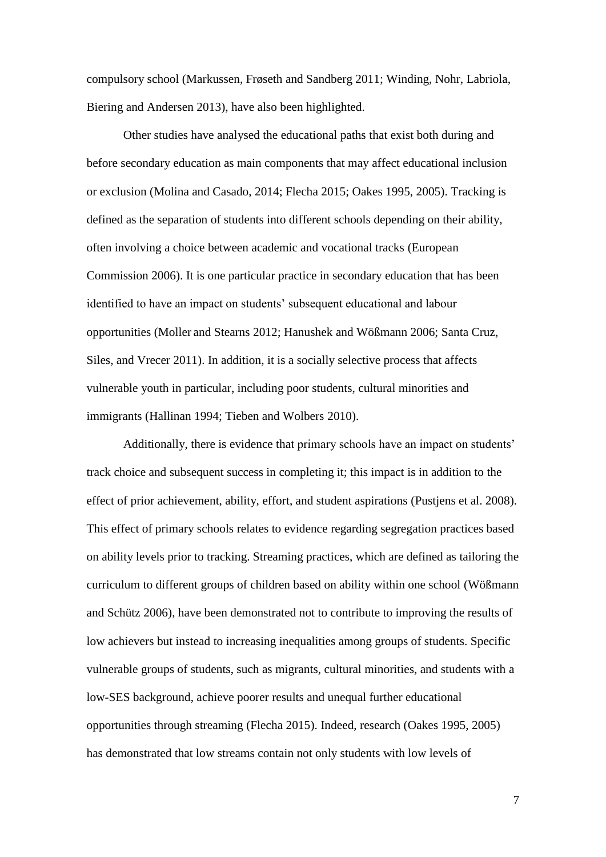compulsory school (Markussen, Frøseth and Sandberg 2011; Winding, Nohr, Labriola, Biering and Andersen 2013), have also been highlighted.

Other studies have analysed the educational paths that exist both during and before secondary education as main components that may affect educational inclusion or exclusion (Molina and Casado, 2014; Flecha 2015; Oakes 1995, 2005). Tracking is defined as the separation of students into different schools depending on their ability, often involving a choice between academic and vocational tracks (European Commission 2006). It is one particular practice in secondary education that has been identified to have an impact on students' subsequent educational and labour opportunities (Moller and Stearns 2012; Hanushek and Wößmann 2006; Santa Cruz, Siles, and Vrecer 2011). In addition, it is a socially selective process that affects vulnerable youth in particular, including poor students, cultural minorities and immigrants (Hallinan 1994; Tieben and Wolbers 2010).

Additionally, there is evidence that primary schools have an impact on students' track choice and subsequent success in completing it; this impact is in addition to the effect of prior achievement, ability, effort, and student aspirations (Pustjens et al. 2008). This effect of primary schools relates to evidence regarding segregation practices based on ability levels prior to tracking. Streaming practices, which are defined as tailoring the curriculum to different groups of children based on ability within one school (Wößmann and Schütz 2006), have been demonstrated not to contribute to improving the results of low achievers but instead to increasing inequalities among groups of students. Specific vulnerable groups of students, such as migrants, cultural minorities, and students with a low-SES background, achieve poorer results and unequal further educational opportunities through streaming (Flecha 2015). Indeed, research (Oakes 1995, 2005) has demonstrated that low streams contain not only students with low levels of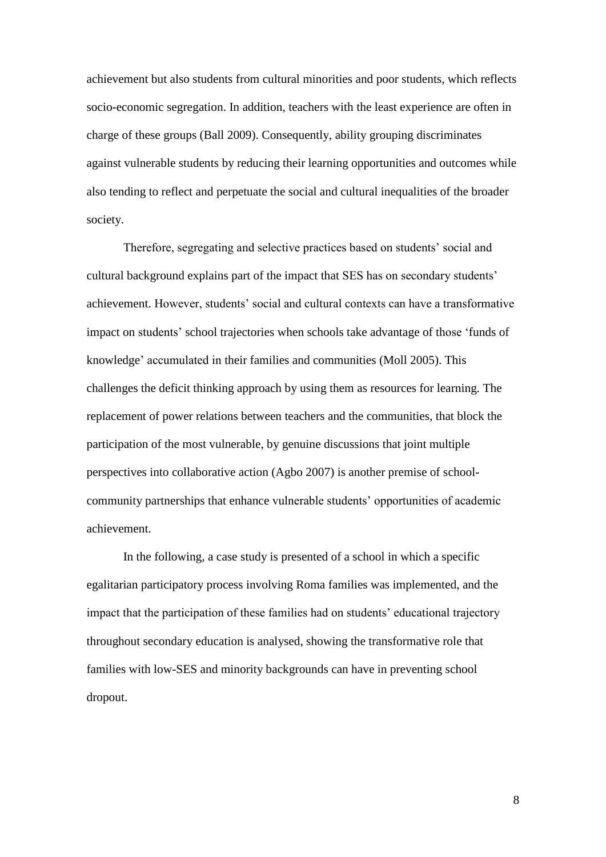achievement but also students from cultural minorities and poor students, which reflects socio-economic segregation. In addition, teachers with the least experience are often in charge of these groups (Ball 2009). Consequently, ability grouping discriminates against vulnerable students by reducing their learning opportunities and outcomes while also tending to reflect and perpetuate the social and cultural inequalities of the broader society.

Therefore, segregating and selective practices based on students' social and cultural background explains part of the impact that SES has on secondary students' achievement. However, students' social and cultural contexts can have a transformative impact on students' school trajectories when schools take advantage of those 'funds of knowledge' accumulated in their families and communities (Moll 2005). This challenges the deficit thinking approach by using them as resources for learning. The replacement of power relations between teachers and the communities, that block the participation of the most vulnerable, by genuine discussions that joint multiple perspectives into collaborative action (Agbo 2007) is another premise of schoolcommunity partnerships that enhance vulnerable students' opportunities of academic achievement.

In the following, a case study is presented of a school in which a specific egalitarian participatory process involving Roma families was implemented, and the impact that the participation of these families had on students' educational trajectory throughout secondary education is analysed, showing the transformative role that families with low-SES and minority backgrounds can have in preventing school dropout.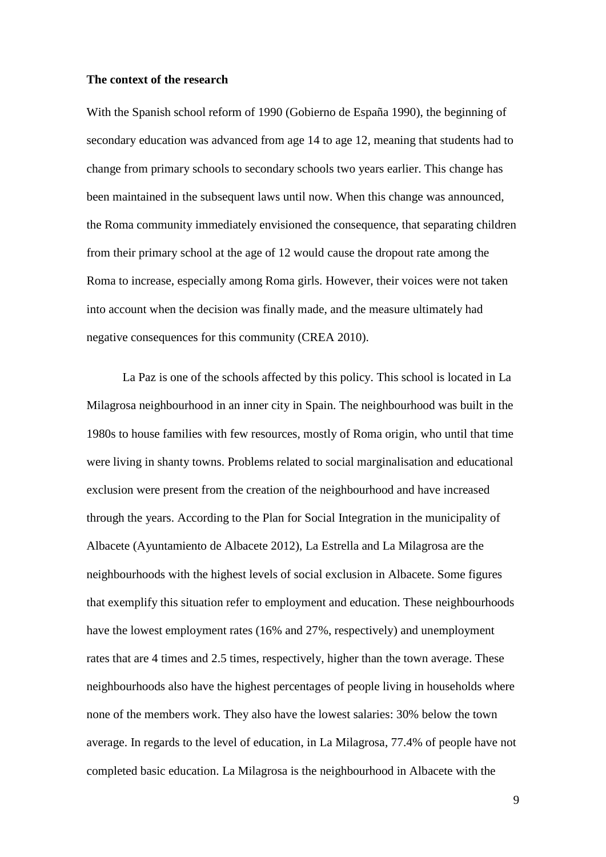### **The context of the research**

With the Spanish school reform of 1990 (Gobierno de España 1990), the beginning of secondary education was advanced from age 14 to age 12, meaning that students had to change from primary schools to secondary schools two years earlier. This change has been maintained in the subsequent laws until now. When this change was announced, the Roma community immediately envisioned the consequence, that separating children from their primary school at the age of 12 would cause the dropout rate among the Roma to increase, especially among Roma girls. However, their voices were not taken into account when the decision was finally made, and the measure ultimately had negative consequences for this community (CREA 2010).

La Paz is one of the schools affected by this policy. This school is located in La Milagrosa neighbourhood in an inner city in Spain. The neighbourhood was built in the 1980s to house families with few resources, mostly of Roma origin, who until that time were living in shanty towns. Problems related to social marginalisation and educational exclusion were present from the creation of the neighbourhood and have increased through the years. According to the Plan for Social Integration in the municipality of Albacete (Ayuntamiento de Albacete 2012), La Estrella and La Milagrosa are the neighbourhoods with the highest levels of social exclusion in Albacete. Some figures that exemplify this situation refer to employment and education. These neighbourhoods have the lowest employment rates (16% and 27%, respectively) and unemployment rates that are 4 times and 2.5 times, respectively, higher than the town average. These neighbourhoods also have the highest percentages of people living in households where none of the members work. They also have the lowest salaries: 30% below the town average. In regards to the level of education, in La Milagrosa, 77.4% of people have not completed basic education. La Milagrosa is the neighbourhood in Albacete with the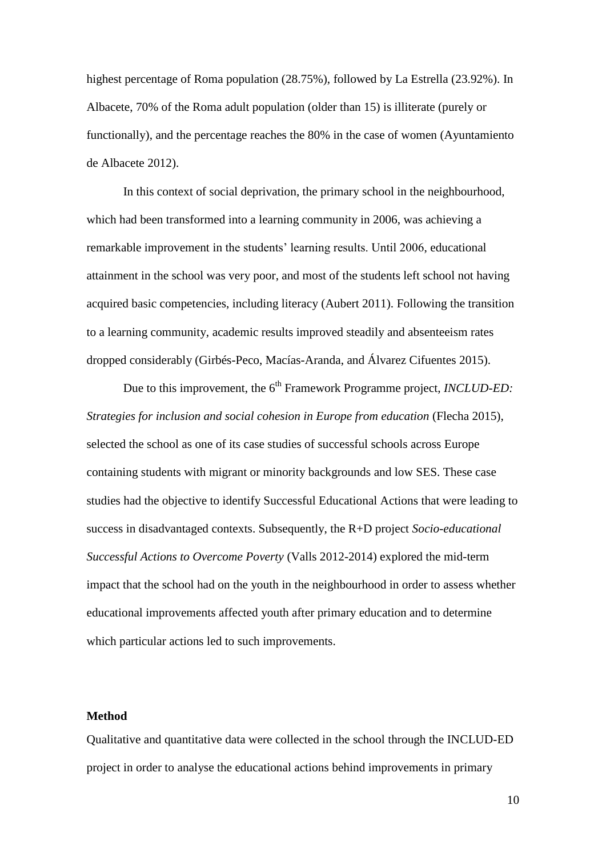highest percentage of Roma population (28.75%), followed by La Estrella (23.92%). In Albacete, 70% of the Roma adult population (older than 15) is illiterate (purely or functionally), and the percentage reaches the 80% in the case of women (Ayuntamiento de Albacete 2012).

In this context of social deprivation, the primary school in the neighbourhood, which had been transformed into a learning community in 2006, was achieving a remarkable improvement in the students' learning results. Until 2006, educational attainment in the school was very poor, and most of the students left school not having acquired basic competencies, including literacy (Aubert 2011). Following the transition to a learning community, academic results improved steadily and absenteeism rates dropped considerably (Girbés-Peco, Macías-Aranda, and Álvarez Cifuentes 2015).

Due to this improvement, the 6<sup>th</sup> Framework Programme project, *INCLUD-ED*: *Strategies for inclusion and social cohesion in Europe from education* (Flecha 2015), selected the school as one of its case studies of successful schools across Europe containing students with migrant or minority backgrounds and low SES. These case studies had the objective to identify Successful Educational Actions that were leading to success in disadvantaged contexts. Subsequently, the R+D project *Socio-educational Successful Actions to Overcome Poverty* (Valls 2012-2014) explored the mid-term impact that the school had on the youth in the neighbourhood in order to assess whether educational improvements affected youth after primary education and to determine which particular actions led to such improvements.

#### **Method**

Qualitative and quantitative data were collected in the school through the INCLUD-ED project in order to analyse the educational actions behind improvements in primary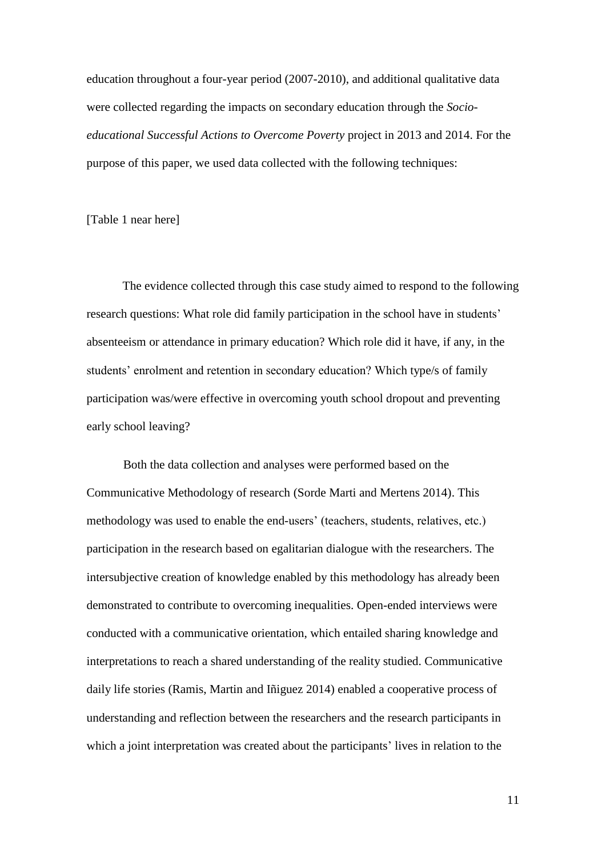education throughout a four-year period (2007-2010), and additional qualitative data were collected regarding the impacts on secondary education through the *Socioeducational Successful Actions to Overcome Poverty* project in 2013 and 2014. For the purpose of this paper, we used data collected with the following techniques:

[Table 1 near here]

The evidence collected through this case study aimed to respond to the following research questions: What role did family participation in the school have in students' absenteeism or attendance in primary education? Which role did it have, if any, in the students' enrolment and retention in secondary education? Which type/s of family participation was/were effective in overcoming youth school dropout and preventing early school leaving?

Both the data collection and analyses were performed based on the Communicative Methodology of research (Sorde Marti and Mertens 2014). This methodology was used to enable the end-users' (teachers, students, relatives, etc.) participation in the research based on egalitarian dialogue with the researchers. The intersubjective creation of knowledge enabled by this methodology has already been demonstrated to contribute to overcoming inequalities. Open-ended interviews were conducted with a communicative orientation, which entailed sharing knowledge and interpretations to reach a shared understanding of the reality studied. Communicative daily life stories (Ramis, Martin and Iñiguez 2014) enabled a cooperative process of understanding and reflection between the researchers and the research participants in which a joint interpretation was created about the participants' lives in relation to the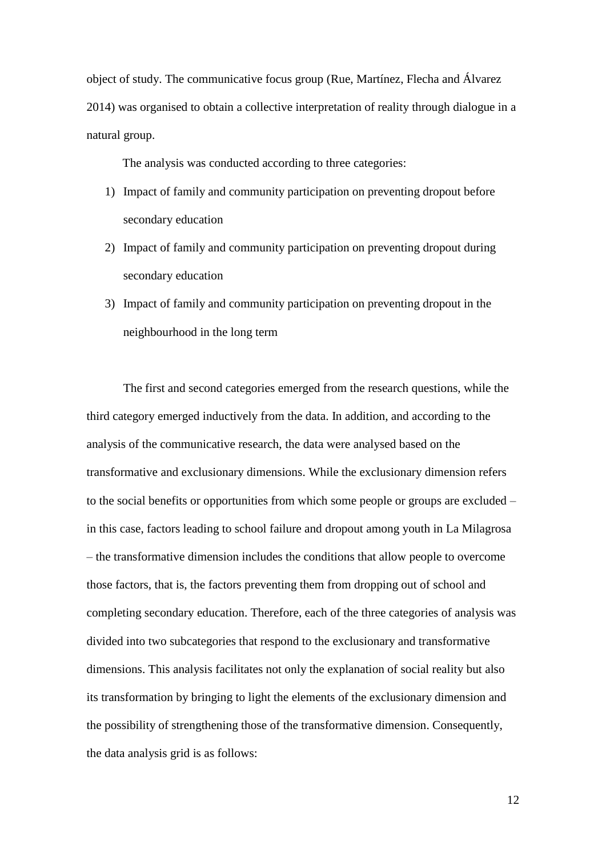object of study. The communicative focus group (Rue, Martínez, Flecha and Álvarez 2014) was organised to obtain a collective interpretation of reality through dialogue in a natural group.

The analysis was conducted according to three categories:

- 1) Impact of family and community participation on preventing dropout before secondary education
- 2) Impact of family and community participation on preventing dropout during secondary education
- 3) Impact of family and community participation on preventing dropout in the neighbourhood in the long term

The first and second categories emerged from the research questions, while the third category emerged inductively from the data. In addition, and according to the analysis of the communicative research, the data were analysed based on the transformative and exclusionary dimensions. While the exclusionary dimension refers to the social benefits or opportunities from which some people or groups are excluded – in this case, factors leading to school failure and dropout among youth in La Milagrosa – the transformative dimension includes the conditions that allow people to overcome those factors, that is, the factors preventing them from dropping out of school and completing secondary education. Therefore, each of the three categories of analysis was divided into two subcategories that respond to the exclusionary and transformative dimensions. This analysis facilitates not only the explanation of social reality but also its transformation by bringing to light the elements of the exclusionary dimension and the possibility of strengthening those of the transformative dimension. Consequently, the data analysis grid is as follows: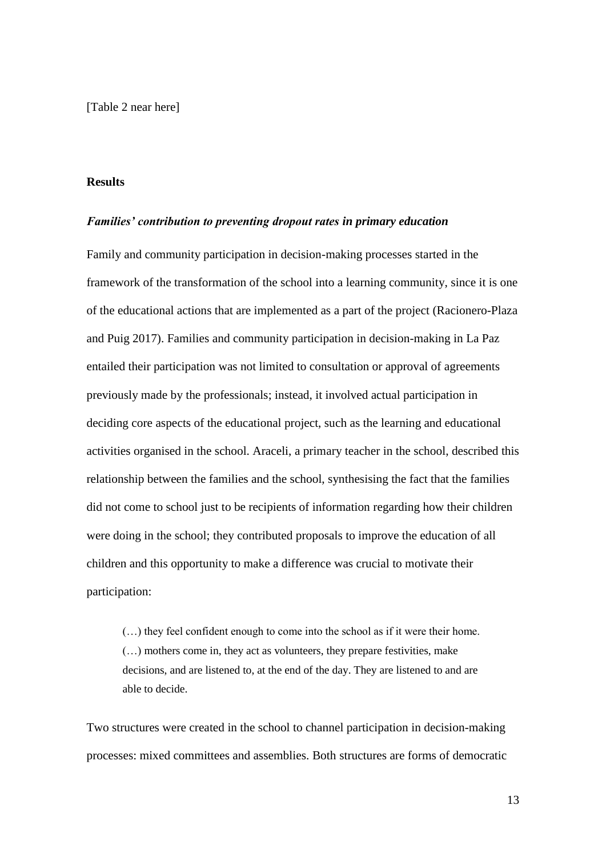[Table 2 near here]

#### **Results**

#### *Families' contribution to preventing dropout rates in primary education*

Family and community participation in decision-making processes started in the framework of the transformation of the school into a learning community, since it is one of the educational actions that are implemented as a part of the project (Racionero-Plaza and Puig 2017). Families and community participation in decision-making in La Paz entailed their participation was not limited to consultation or approval of agreements previously made by the professionals; instead, it involved actual participation in deciding core aspects of the educational project, such as the learning and educational activities organised in the school. Araceli, a primary teacher in the school, described this relationship between the families and the school, synthesising the fact that the families did not come to school just to be recipients of information regarding how their children were doing in the school; they contributed proposals to improve the education of all children and this opportunity to make a difference was crucial to motivate their participation:

(…) they feel confident enough to come into the school as if it were their home. (…) mothers come in, they act as volunteers, they prepare festivities, make decisions, and are listened to, at the end of the day. They are listened to and are able to decide.

Two structures were created in the school to channel participation in decision-making processes: mixed committees and assemblies. Both structures are forms of democratic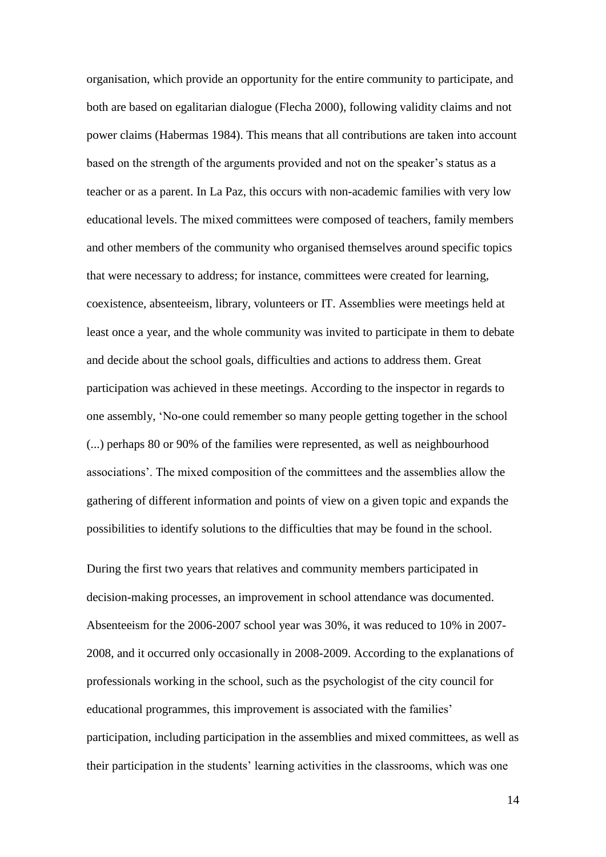organisation, which provide an opportunity for the entire community to participate, and both are based on egalitarian dialogue (Flecha 2000), following validity claims and not power claims (Habermas 1984). This means that all contributions are taken into account based on the strength of the arguments provided and not on the speaker's status as a teacher or as a parent. In La Paz, this occurs with non-academic families with very low educational levels. The mixed committees were composed of teachers, family members and other members of the community who organised themselves around specific topics that were necessary to address; for instance, committees were created for learning, coexistence, absenteeism, library, volunteers or IT. Assemblies were meetings held at least once a year, and the whole community was invited to participate in them to debate and decide about the school goals, difficulties and actions to address them. Great participation was achieved in these meetings. According to the inspector in regards to one assembly, ‗No-one could remember so many people getting together in the school (...) perhaps 80 or 90% of the families were represented, as well as neighbourhood associations'. The mixed composition of the committees and the assemblies allow the gathering of different information and points of view on a given topic and expands the possibilities to identify solutions to the difficulties that may be found in the school.

During the first two years that relatives and community members participated in decision-making processes, an improvement in school attendance was documented. Absenteeism for the 2006-2007 school year was 30%, it was reduced to 10% in 2007- 2008, and it occurred only occasionally in 2008-2009. According to the explanations of professionals working in the school, such as the psychologist of the city council for educational programmes, this improvement is associated with the families' participation, including participation in the assemblies and mixed committees, as well as their participation in the students' learning activities in the classrooms, which was one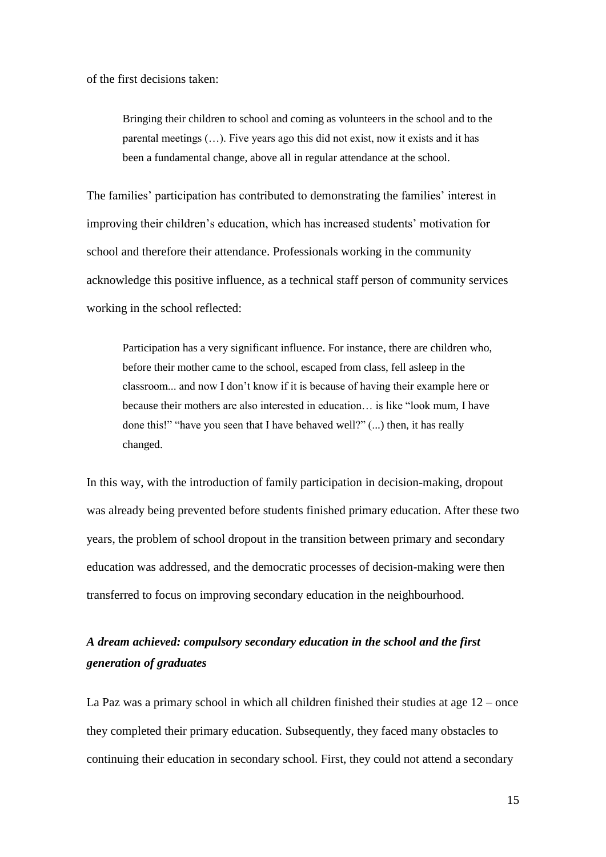of the first decisions taken:

Bringing their children to school and coming as volunteers in the school and to the parental meetings (…). Five years ago this did not exist, now it exists and it has been a fundamental change, above all in regular attendance at the school.

The families' participation has contributed to demonstrating the families' interest in improving their children's education, which has increased students' motivation for school and therefore their attendance. Professionals working in the community acknowledge this positive influence, as a technical staff person of community services working in the school reflected:

Participation has a very significant influence. For instance, there are children who, before their mother came to the school, escaped from class, fell asleep in the classroom... and now I don't know if it is because of having their example here or because their mothers are also interested in education... is like "look mum, I have done this!" "have you seen that I have behaved well?"  $(...)$  then, it has really changed.

In this way, with the introduction of family participation in decision-making, dropout was already being prevented before students finished primary education. After these two years, the problem of school dropout in the transition between primary and secondary education was addressed, and the democratic processes of decision-making were then transferred to focus on improving secondary education in the neighbourhood.

## *A dream achieved: compulsory secondary education in the school and the first generation of graduates*

La Paz was a primary school in which all children finished their studies at age  $12$  – once they completed their primary education. Subsequently, they faced many obstacles to continuing their education in secondary school. First, they could not attend a secondary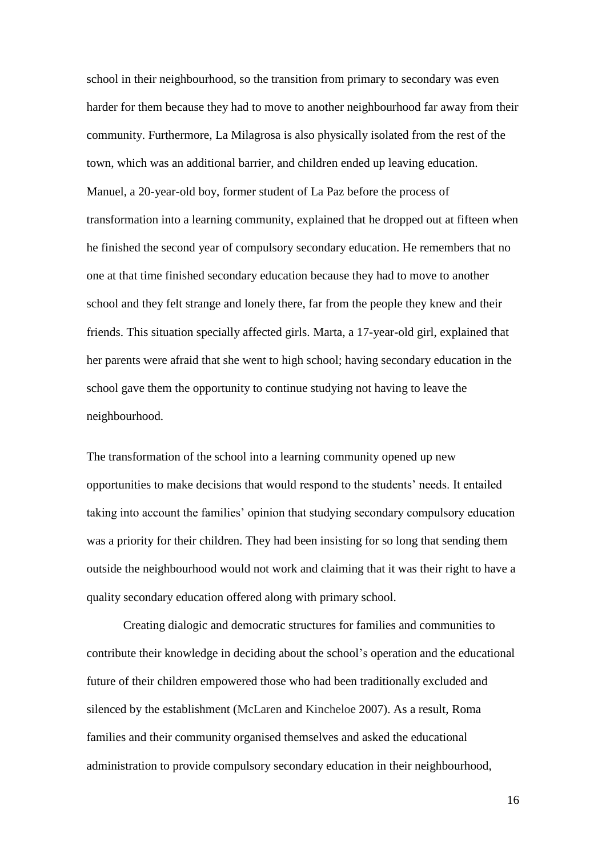school in their neighbourhood, so the transition from primary to secondary was even harder for them because they had to move to another neighbourhood far away from their community. Furthermore, La Milagrosa is also physically isolated from the rest of the town, which was an additional barrier, and children ended up leaving education. Manuel, a 20-year-old boy, former student of La Paz before the process of transformation into a learning community, explained that he dropped out at fifteen when he finished the second year of compulsory secondary education. He remembers that no one at that time finished secondary education because they had to move to another school and they felt strange and lonely there, far from the people they knew and their friends. This situation specially affected girls. Marta, a 17-year-old girl, explained that her parents were afraid that she went to high school; having secondary education in the school gave them the opportunity to continue studying not having to leave the neighbourhood.

The transformation of the school into a learning community opened up new opportunities to make decisions that would respond to the students' needs. It entailed taking into account the families' opinion that studying secondary compulsory education was a priority for their children. They had been insisting for so long that sending them outside the neighbourhood would not work and claiming that it was their right to have a quality secondary education offered along with primary school.

Creating dialogic and democratic structures for families and communities to contribute their knowledge in deciding about the school's operation and the educational future of their children empowered those who had been traditionally excluded and silenced by the establishment (McLaren and Kincheloe 2007). As a result, Roma families and their community organised themselves and asked the educational administration to provide compulsory secondary education in their neighbourhood,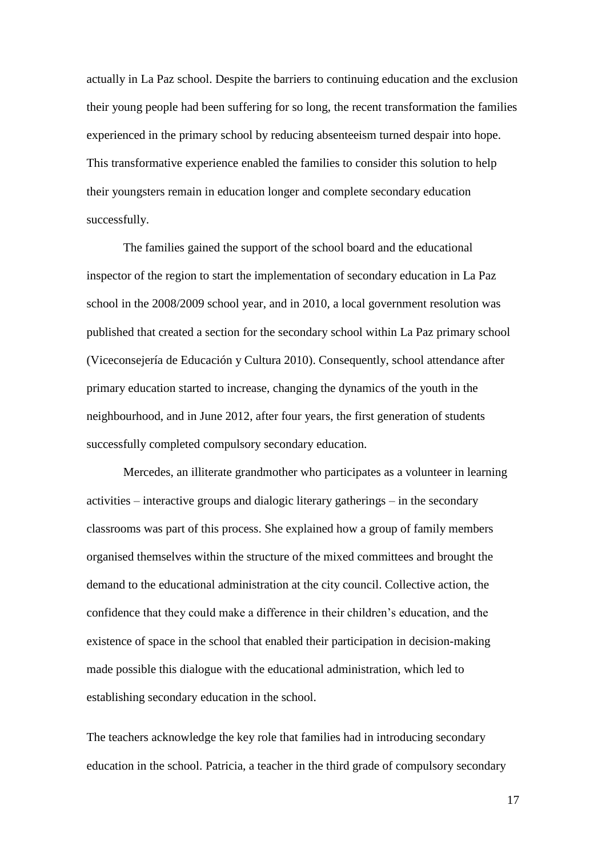actually in La Paz school. Despite the barriers to continuing education and the exclusion their young people had been suffering for so long, the recent transformation the families experienced in the primary school by reducing absenteeism turned despair into hope. This transformative experience enabled the families to consider this solution to help their youngsters remain in education longer and complete secondary education successfully.

The families gained the support of the school board and the educational inspector of the region to start the implementation of secondary education in La Paz school in the 2008/2009 school year, and in 2010, a local government resolution was published that created a section for the secondary school within La Paz primary school (Viceconsejería de Educación y Cultura 2010). Consequently, school attendance after primary education started to increase, changing the dynamics of the youth in the neighbourhood, and in June 2012, after four years, the first generation of students successfully completed compulsory secondary education.

Mercedes, an illiterate grandmother who participates as a volunteer in learning activities – interactive groups and dialogic literary gatherings – in the secondary classrooms was part of this process. She explained how a group of family members organised themselves within the structure of the mixed committees and brought the demand to the educational administration at the city council. Collective action, the confidence that they could make a difference in their children's education, and the existence of space in the school that enabled their participation in decision-making made possible this dialogue with the educational administration, which led to establishing secondary education in the school.

The teachers acknowledge the key role that families had in introducing secondary education in the school. Patricia, a teacher in the third grade of compulsory secondary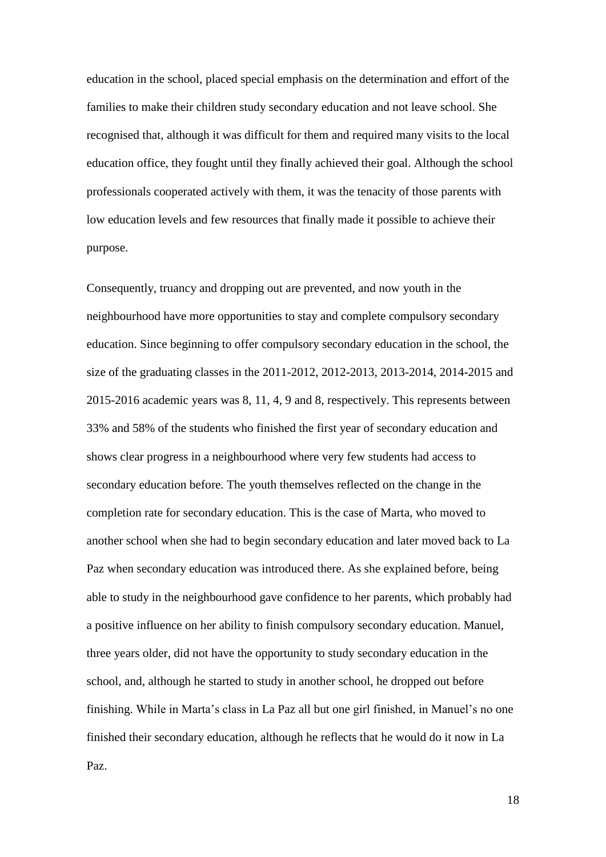education in the school, placed special emphasis on the determination and effort of the families to make their children study secondary education and not leave school. She recognised that, although it was difficult for them and required many visits to the local education office, they fought until they finally achieved their goal. Although the school professionals cooperated actively with them, it was the tenacity of those parents with low education levels and few resources that finally made it possible to achieve their purpose.

Consequently, truancy and dropping out are prevented, and now youth in the neighbourhood have more opportunities to stay and complete compulsory secondary education. Since beginning to offer compulsory secondary education in the school, the size of the graduating classes in the 2011-2012, 2012-2013, 2013-2014, 2014-2015 and 2015-2016 academic years was 8, 11, 4, 9 and 8, respectively. This represents between 33% and 58% of the students who finished the first year of secondary education and shows clear progress in a neighbourhood where very few students had access to secondary education before. The youth themselves reflected on the change in the completion rate for secondary education. This is the case of Marta, who moved to another school when she had to begin secondary education and later moved back to La Paz when secondary education was introduced there. As she explained before, being able to study in the neighbourhood gave confidence to her parents, which probably had a positive influence on her ability to finish compulsory secondary education. Manuel, three years older, did not have the opportunity to study secondary education in the school, and, although he started to study in another school, he dropped out before finishing. While in Marta's class in La Paz all but one girl finished, in Manuel's no one finished their secondary education, although he reflects that he would do it now in La Paz.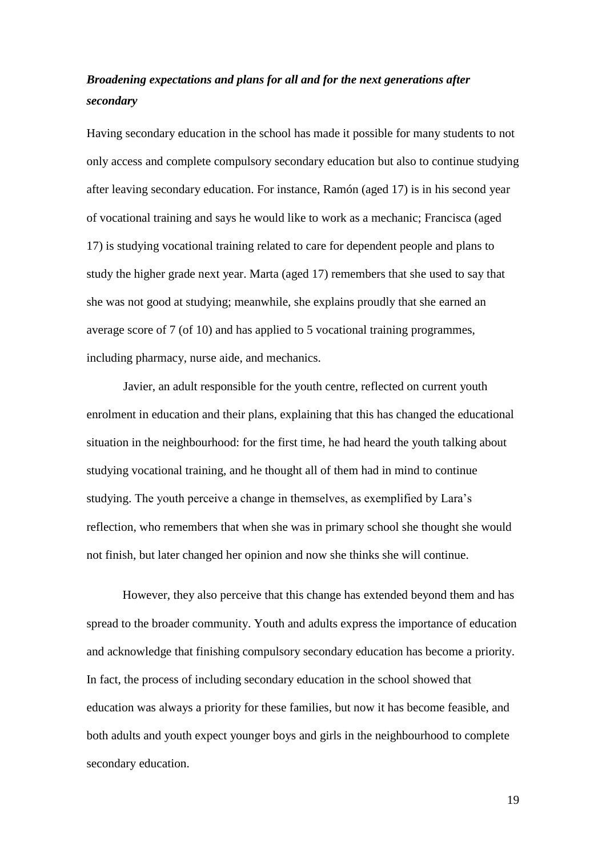## *Broadening expectations and plans for all and for the next generations after secondary*

Having secondary education in the school has made it possible for many students to not only access and complete compulsory secondary education but also to continue studying after leaving secondary education. For instance, Ramón (aged 17) is in his second year of vocational training and says he would like to work as a mechanic; Francisca (aged 17) is studying vocational training related to care for dependent people and plans to study the higher grade next year. Marta (aged 17) remembers that she used to say that she was not good at studying; meanwhile, she explains proudly that she earned an average score of 7 (of 10) and has applied to 5 vocational training programmes, including pharmacy, nurse aide, and mechanics.

Javier, an adult responsible for the youth centre, reflected on current youth enrolment in education and their plans, explaining that this has changed the educational situation in the neighbourhood: for the first time, he had heard the youth talking about studying vocational training, and he thought all of them had in mind to continue studying. The youth perceive a change in themselves, as exemplified by Lara's reflection, who remembers that when she was in primary school she thought she would not finish, but later changed her opinion and now she thinks she will continue.

However, they also perceive that this change has extended beyond them and has spread to the broader community. Youth and adults express the importance of education and acknowledge that finishing compulsory secondary education has become a priority. In fact, the process of including secondary education in the school showed that education was always a priority for these families, but now it has become feasible, and both adults and youth expect younger boys and girls in the neighbourhood to complete secondary education.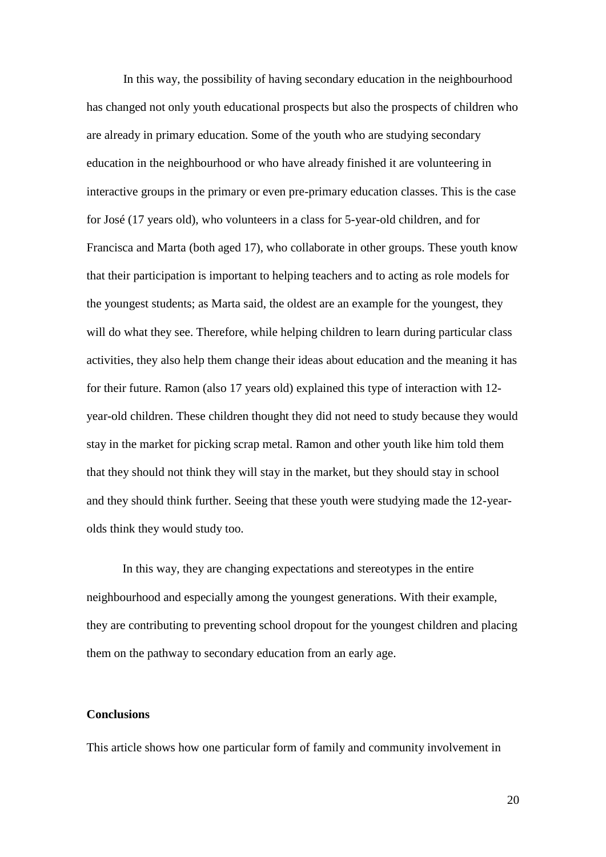In this way, the possibility of having secondary education in the neighbourhood has changed not only youth educational prospects but also the prospects of children who are already in primary education. Some of the youth who are studying secondary education in the neighbourhood or who have already finished it are volunteering in interactive groups in the primary or even pre-primary education classes. This is the case for José (17 years old), who volunteers in a class for 5-year-old children, and for Francisca and Marta (both aged 17), who collaborate in other groups. These youth know that their participation is important to helping teachers and to acting as role models for the youngest students; as Marta said, the oldest are an example for the youngest, they will do what they see. Therefore, while helping children to learn during particular class activities, they also help them change their ideas about education and the meaning it has for their future. Ramon (also 17 years old) explained this type of interaction with 12 year-old children. These children thought they did not need to study because they would stay in the market for picking scrap metal. Ramon and other youth like him told them that they should not think they will stay in the market, but they should stay in school and they should think further. Seeing that these youth were studying made the 12-yearolds think they would study too.

In this way, they are changing expectations and stereotypes in the entire neighbourhood and especially among the youngest generations. With their example, they are contributing to preventing school dropout for the youngest children and placing them on the pathway to secondary education from an early age.

#### **Conclusions**

This article shows how one particular form of family and community involvement in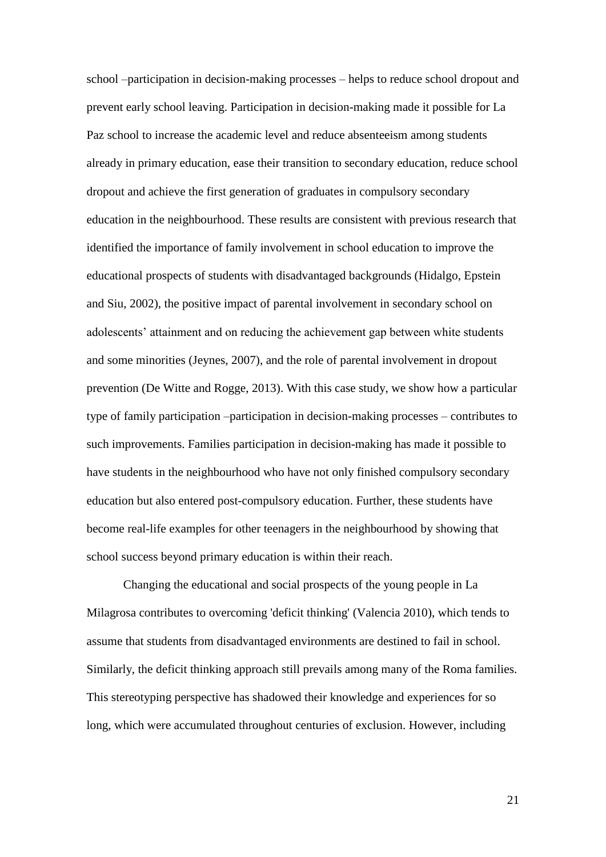school –participation in decision-making processes – helps to reduce school dropout and prevent early school leaving. Participation in decision-making made it possible for La Paz school to increase the academic level and reduce absenteeism among students already in primary education, ease their transition to secondary education, reduce school dropout and achieve the first generation of graduates in compulsory secondary education in the neighbourhood. These results are consistent with previous research that identified the importance of family involvement in school education to improve the educational prospects of students with disadvantaged backgrounds (Hidalgo, Epstein and Siu, 2002), the positive impact of parental involvement in secondary school on adolescents' attainment and on reducing the achievement gap between white students and some minorities (Jeynes, 2007), and the role of parental involvement in dropout prevention (De Witte and Rogge, 2013). With this case study, we show how a particular type of family participation –participation in decision-making processes – contributes to such improvements. Families participation in decision-making has made it possible to have students in the neighbourhood who have not only finished compulsory secondary education but also entered post-compulsory education. Further, these students have become real-life examples for other teenagers in the neighbourhood by showing that school success beyond primary education is within their reach.

Changing the educational and social prospects of the young people in La Milagrosa contributes to overcoming 'deficit thinking' (Valencia 2010), which tends to assume that students from disadvantaged environments are destined to fail in school. Similarly, the deficit thinking approach still prevails among many of the Roma families. This stereotyping perspective has shadowed their knowledge and experiences for so long, which were accumulated throughout centuries of exclusion. However, including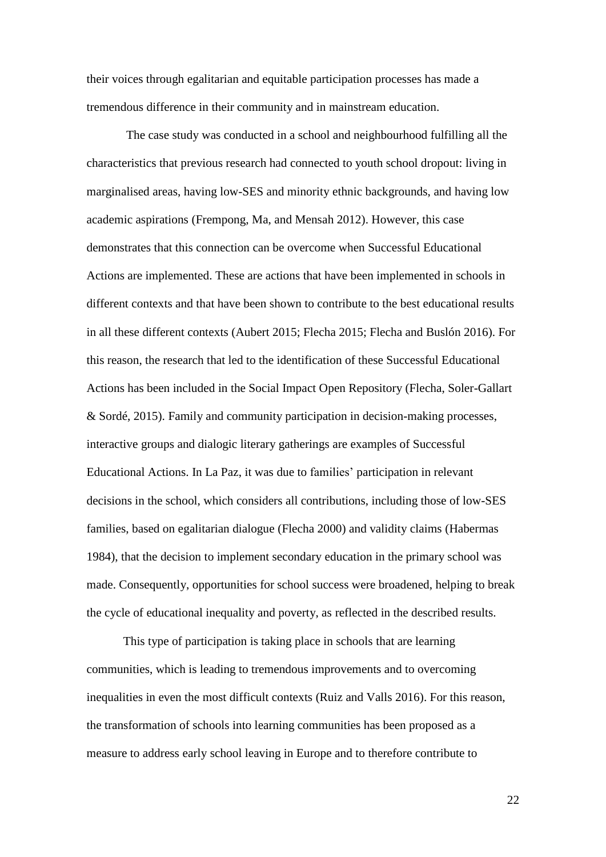their voices through egalitarian and equitable participation processes has made a tremendous difference in their community and in mainstream education.

The case study was conducted in a school and neighbourhood fulfilling all the characteristics that previous research had connected to youth school dropout: living in marginalised areas, having low-SES and minority ethnic backgrounds, and having low academic aspirations (Frempong, Ma, and Mensah 2012). However, this case demonstrates that this connection can be overcome when Successful Educational Actions are implemented. These are actions that have been implemented in schools in different contexts and that have been shown to contribute to the best educational results in all these different contexts (Aubert 2015; Flecha 2015; Flecha and Buslón 2016). For this reason, the research that led to the identification of these Successful Educational Actions has been included in the Social Impact Open Repository (Flecha, Soler-Gallart & Sordé, 2015). Family and community participation in decision-making processes, interactive groups and dialogic literary gatherings are examples of Successful Educational Actions. In La Paz, it was due to families' participation in relevant decisions in the school, which considers all contributions, including those of low-SES families, based on egalitarian dialogue (Flecha 2000) and validity claims (Habermas 1984), that the decision to implement secondary education in the primary school was made. Consequently, opportunities for school success were broadened, helping to break the cycle of educational inequality and poverty, as reflected in the described results.

This type of participation is taking place in schools that are learning communities, which is leading to tremendous improvements and to overcoming inequalities in even the most difficult contexts (Ruiz and Valls 2016). For this reason, the transformation of schools into learning communities has been proposed as a measure to address early school leaving in Europe and to therefore contribute to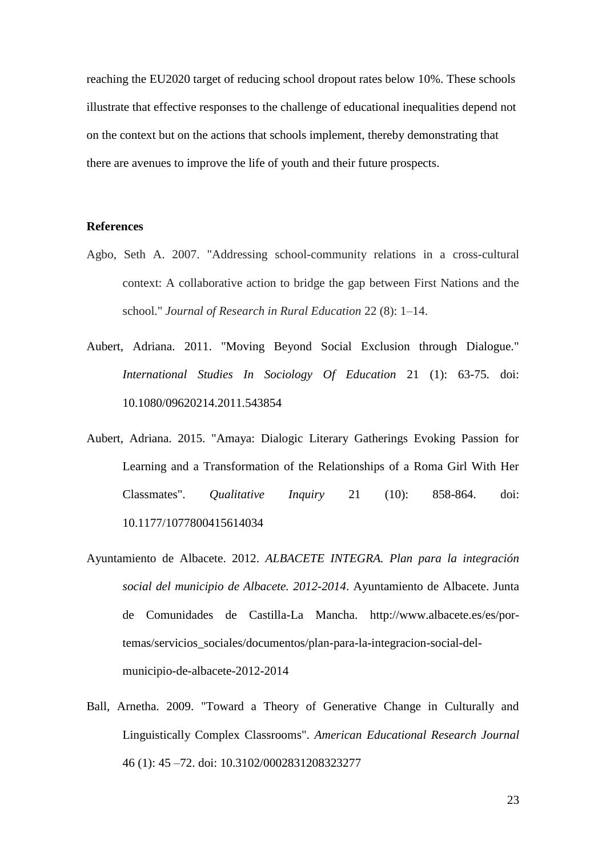reaching the EU2020 target of reducing school dropout rates below 10%. These schools illustrate that effective responses to the challenge of educational inequalities depend not on the context but on the actions that schools implement, thereby demonstrating that there are avenues to improve the life of youth and their future prospects.

#### **References**

- Agbo, Seth A. 2007. "Addressing school-community relations in a cross-cultural context: A collaborative action to bridge the gap between First Nations and the school." *Journal of Research in Rural Education* 22 (8): 1–14.
- Aubert, Adriana. 2011. "Moving Beyond Social Exclusion through Dialogue." *International Studies In Sociology Of Education* 21 (1): 63-75. doi: 10.1080/09620214.2011.543854
- Aubert, Adriana. 2015. "Amaya: Dialogic Literary Gatherings Evoking Passion for Learning and a Transformation of the Relationships of a Roma Girl With Her Classmates". *Qualitative Inquiry* 21 (10): 858-864. doi: 10.1177/1077800415614034
- Ayuntamiento de Albacete. 2012. *ALBACETE INTEGRA. Plan para la integración social del municipio de Albacete. 2012-2014*. Ayuntamiento de Albacete. Junta de Comunidades de Castilla-La Mancha. http://www.albacete.es/es/portemas/servicios\_sociales/documentos/plan-para-la-integracion-social-delmunicipio-de-albacete-2012-2014
- Ball, Arnetha. 2009. "Toward a Theory of Generative Change in Culturally and Linguistically Complex Classrooms". *American Educational Research Journal* 46 (1): 45 –72. doi: 10.3102/0002831208323277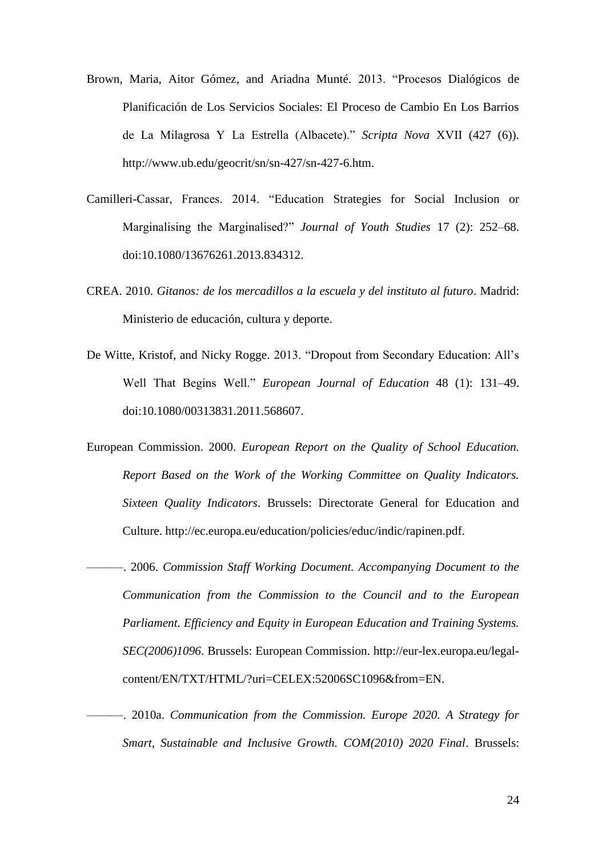- Brown, Maria, Aitor Gómez, and Ariadna Munté. 2013. "Procesos Dialógicos de Planificación de Los Servicios Sociales: El Proceso de Cambio En Los Barrios de La Milagrosa Y La Estrella (Albacete)." *Scripta Nova* XVII (427 (6)). http://www.ub.edu/geocrit/sn/sn-427/sn-427-6.htm.
- Camilleri-Cassar, Frances. 2014. "Education Strategies for Social Inclusion or Marginalising the Marginalised?" Journal of Youth Studies 17 (2): 252-68. doi:10.1080/13676261.2013.834312.
- CREA. 2010. *Gitanos: de los mercadillos a la escuela y del instituto al futuro*. Madrid: Ministerio de educación, cultura y deporte.
- De Witte, Kristof, and Nicky Rogge. 2013. "Dropout from Secondary Education: All's Well That Begins Well." *European Journal of Education* 48 (1): 131-49. doi:10.1080/00313831.2011.568607.
- European Commission. 2000. *European Report on the Quality of School Education. Report Based on the Work of the Working Committee on Quality Indicators. Sixteen Quality Indicators*. Brussels: Directorate General for Education and Culture. http://ec.europa.eu/education/policies/educ/indic/rapinen.pdf.
- ———. 2006. *Commission Staff Working Document. Accompanying Document to the Communication from the Commission to the Council and to the European Parliament. Efficiency and Equity in European Education and Training Systems. SEC(2006)1096*. Brussels: European Commission. http://eur-lex.europa.eu/legalcontent/EN/TXT/HTML/?uri=CELEX:52006SC1096&from=EN.
- ———. 2010a. *Communication from the Commission. Europe 2020. A Strategy for Smart, Sustainable and Inclusive Growth. COM(2010) 2020 Final*. Brussels: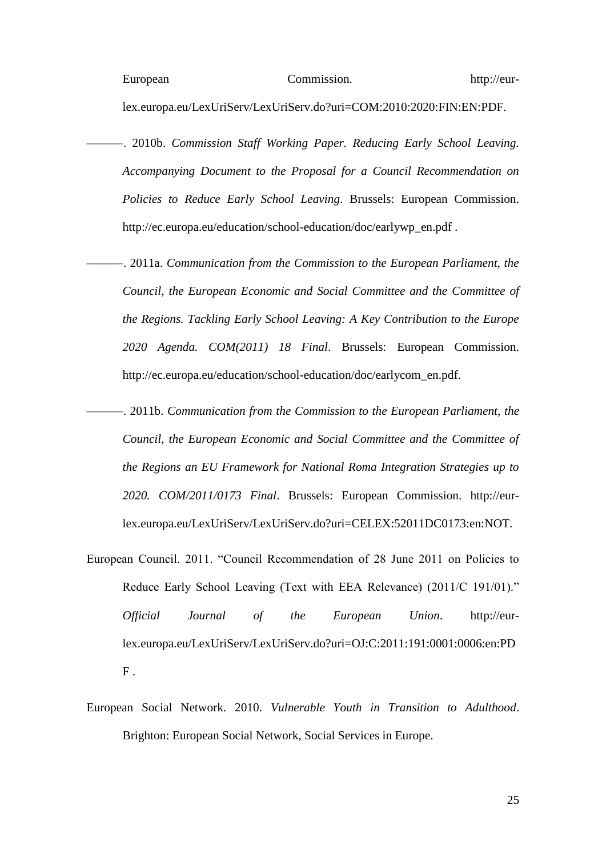lex.europa.eu/LexUriServ/LexUriServ.do?uri=COM:2010:2020:FIN:EN:PDF.

- ———. 2010b. *Commission Staff Working Paper. Reducing Early School Leaving. Accompanying Document to the Proposal for a Council Recommendation on Policies to Reduce Early School Leaving*. Brussels: European Commission. http://ec.europa.eu/education/school-education/doc/earlywp\_en.pdf .
	- ———. 2011a. *Communication from the Commission to the European Parliament, the Council, the European Economic and Social Committee and the Committee of the Regions. Tackling Early School Leaving: A Key Contribution to the Europe 2020 Agenda. COM(2011) 18 Final*. Brussels: European Commission. http://ec.europa.eu/education/school-education/doc/earlycom\_en.pdf.
- ———. 2011b. *Communication from the Commission to the European Parliament, the Council, the European Economic and Social Committee and the Committee of the Regions an EU Framework for National Roma Integration Strategies up to 2020. COM/2011/0173 Final*. Brussels: European Commission. http://eurlex.europa.eu/LexUriServ/LexUriServ.do?uri=CELEX:52011DC0173:en:NOT.
- European Council. 2011. "Council Recommendation of 28 June 2011 on Policies to Reduce Early School Leaving (Text with EEA Relevance) (2011/C 191/01)." *Official Journal of the European Union*. http://eurlex.europa.eu/LexUriServ/LexUriServ.do?uri=OJ:C:2011:191:0001:0006:en:PD  $F<sub>1</sub>$
- European Social Network. 2010. *Vulnerable Youth in Transition to Adulthood*. Brighton: European Social Network, Social Services in Europe.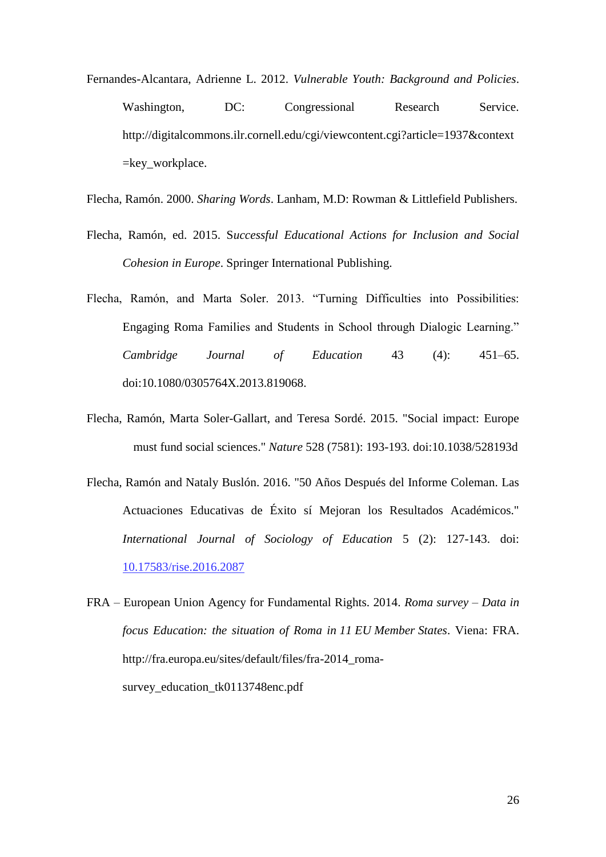Fernandes-Alcantara, Adrienne L. 2012. *Vulnerable Youth: Background and Policies*. Washington, DC: Congressional Research Service. http://digitalcommons.ilr.cornell.edu/cgi/viewcontent.cgi?article=1937&context =key\_workplace.

Flecha, Ramón. 2000. *Sharing Words*. Lanham, M.D: Rowman & Littlefield Publishers.

- Flecha, Ramón, ed. 2015. S*uccessful Educational Actions for Inclusion and Social Cohesion in Europe*. Springer International Publishing.
- Flecha, Ramón, and Marta Soler. 2013. "Turning Difficulties into Possibilities: Engaging Roma Families and Students in School through Dialogic Learning." *Cambridge Journal of Education* 43 (4): 451–65. doi:10.1080/0305764X.2013.819068.
- Flecha, Ramón, Marta Soler-Gallart, and Teresa Sordé. 2015. "Social impact: Europe must fund social sciences." *Nature* 528 (7581): 193-193. doi:10.1038/528193d
- Flecha, Ramón and Nataly Buslón. 2016. "50 Años Después del Informe Coleman. Las Actuaciones Educativas de Éxito sí Mejoran los Resultados Académicos." *International Journal of Sociology of Education* 5 (2): 127-143. doi: [10.17583/rise.2016.2087](http://dx.doi.org/10.17583/rise.2016.2087)
- FRA European Union Agency for Fundamental Rights. 2014. *Roma survey – Data in focus Education: the situation of Roma in 11 EU Member States*. Viena: FRA. http://fra.europa.eu/sites/default/files/fra-2014\_romasurvey education tk0113748enc.pdf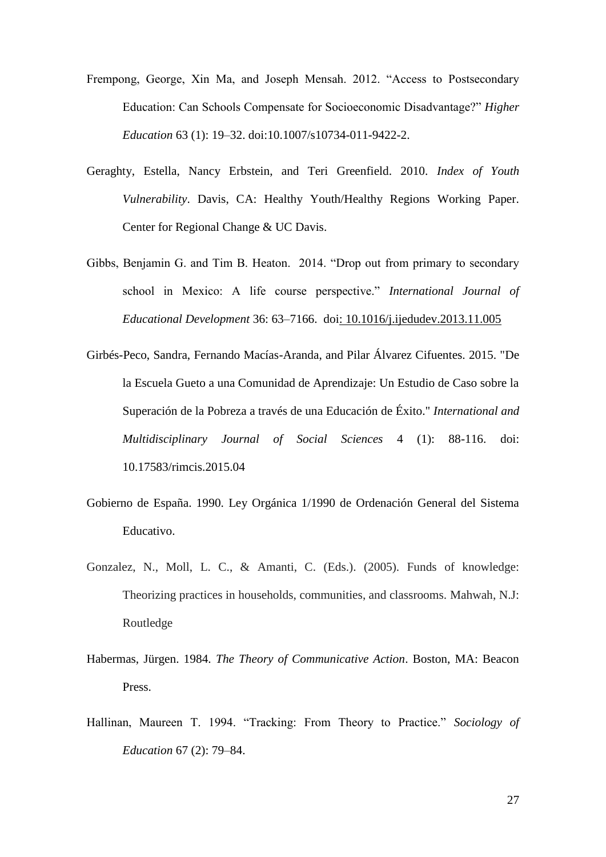- Frempong, George, Xin Ma, and Joseph Mensah. 2012. "Access to Postsecondary Education: Can Schools Compensate for Socioeconomic Disadvantage?" *Higher Education* 63 (1): 19–32. doi:10.1007/s10734-011-9422-2.
- Geraghty, Estella, Nancy Erbstein, and Teri Greenfield. 2010. *Index of Youth Vulnerability*. Davis, CA: Healthy Youth/Healthy Regions Working Paper. Center for Regional Change & UC Davis.
- Gibbs, Benjamin G. and Tim B. Heaton. 2014. "Drop out from primary to secondary school in Mexico: A life course perspective." International Journal of *Educational Development* 36: 63–7166. doi: [10.1016/j.ijedudev.2013.11.005](http://dx.doi.org/10.1016/j.ijedudev.2013.11.005)
- Girbés-Peco, Sandra, Fernando Macías-Aranda, and Pilar Álvarez Cifuentes. 2015. "De la Escuela Gueto a una Comunidad de Aprendizaje: Un Estudio de Caso sobre la Superación de la Pobreza a través de una Educación de Éxito." *International and Multidisciplinary Journal of Social Sciences* 4 (1): 88-116. doi: 10.17583/rimcis.2015.04
- Gobierno de España. 1990. Ley Orgánica 1/1990 de Ordenación General del Sistema Educativo.
- Gonzalez, N., Moll, L. C., & Amanti, C. (Eds.). (2005). Funds of knowledge: Theorizing practices in households, communities, and classrooms. Mahwah, N.J: Routledge
- Habermas, Jürgen. 1984. *The Theory of Communicative Action*. Boston, MA: Beacon Press.
- Hallinan, Maureen T. 1994. "Tracking: From Theory to Practice." Sociology of *Education* 67 (2): 79–84.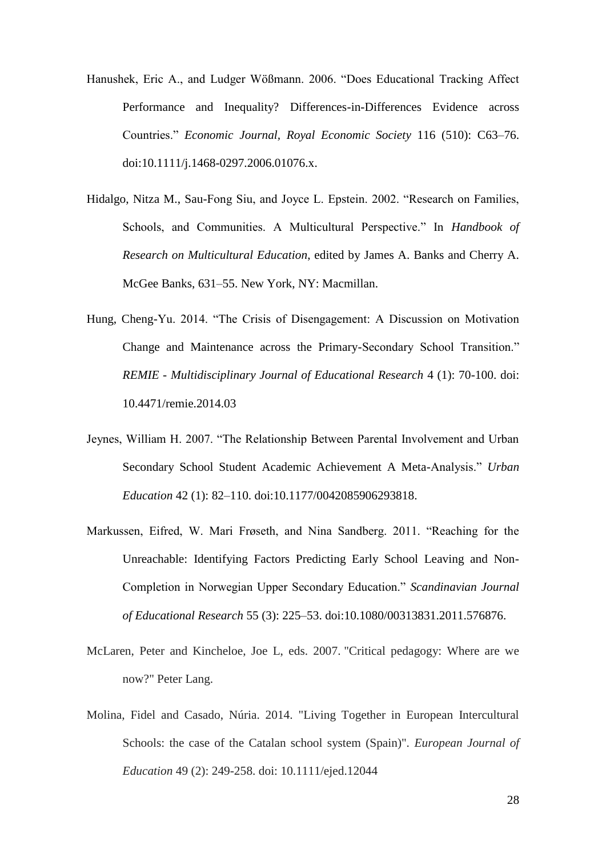- Hanushek, Eric A., and Ludger Wößmann. 2006. "Does Educational Tracking Affect Performance and Inequality? Differences-in-Differences Evidence across Countries.‖ *Economic Journal, Royal Economic Society* 116 (510): C63–76. doi:10.1111/j.1468-0297.2006.01076.x.
- Hidalgo, Nitza M., Sau-Fong Siu, and Joyce L. Epstein. 2002. "Research on Families, Schools, and Communities. A Multicultural Perspective." In *Handbook of Research on Multicultural Education*, edited by James A. Banks and Cherry A. McGee Banks, 631–55. New York, NY: Macmillan.
- Hung, Cheng-Yu. 2014. "The Crisis of Disengagement: A Discussion on Motivation Change and Maintenance across the Primary-Secondary School Transition." *REMIE - Multidisciplinary Journal of Educational Research* 4 (1): 70-100. doi: 10.4471/remie.2014.03
- Jeynes, William H. 2007. "The Relationship Between Parental Involvement and Urban Secondary School Student Academic Achievement A Meta-Analysis." *Urban Education* 42 (1): 82–110. doi:10.1177/0042085906293818.
- Markussen, Eifred, W. Mari Frøseth, and Nina Sandberg. 2011. "Reaching for the Unreachable: Identifying Factors Predicting Early School Leaving and Non-Completion in Norwegian Upper Secondary Education.‖ *Scandinavian Journal of Educational Research* 55 (3): 225–53. doi:10.1080/00313831.2011.576876.
- McLaren, Peter and Kincheloe, Joe L, eds. 2007. "Critical pedagogy: Where are we now?" Peter Lang.
- Molina, Fidel and Casado, Núria. 2014. "Living Together in European Intercultural Schools: the case of the Catalan school system (Spain)". *European Journal of Education* 49 (2): 249-258. doi: 10.1111/ejed.12044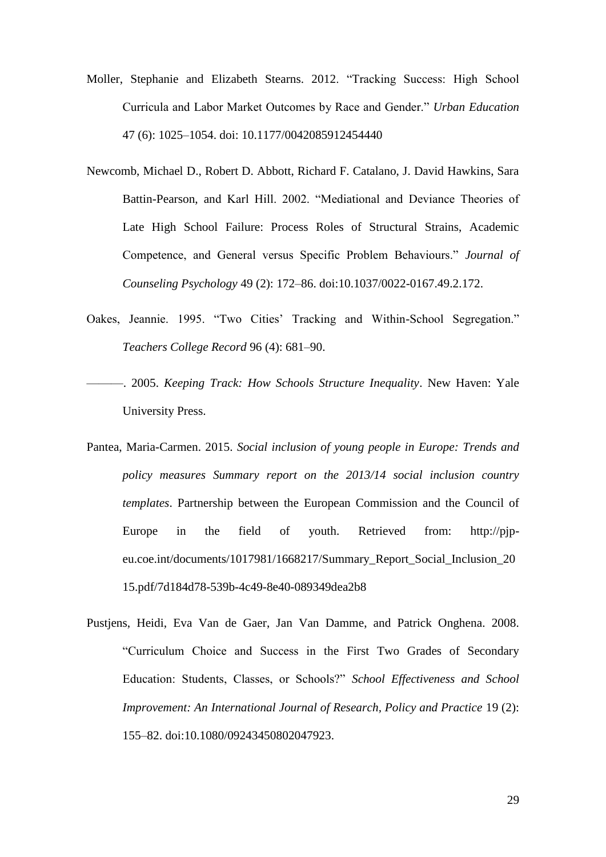- Moller, Stephanie and Elizabeth Stearns. 2012. "Tracking Success: High School Curricula and Labor Market Outcomes by Race and Gender.‖ *Urban Education* 47 (6): 1025–1054. doi: 10.1177/0042085912454440
- Newcomb, Michael D., Robert D. Abbott, Richard F. Catalano, J. David Hawkins, Sara Battin-Pearson, and Karl Hill. 2002. "Mediational and Deviance Theories of Late High School Failure: Process Roles of Structural Strains, Academic Competence, and General versus Specific Problem Behaviours." Journal of *Counseling Psychology* 49 (2): 172–86. doi:10.1037/0022-0167.49.2.172.
- Oakes, Jeannie. 1995. "Two Cities' Tracking and Within-School Segregation." *Teachers College Record* 96 (4): 681–90.
- ———. 2005. *Keeping Track: How Schools Structure Inequality*. New Haven: Yale University Press.
- Pantea, Maria-Carmen. 2015. *Social inclusion of young people in Europe: Trends and policy measures Summary report on the 2013/14 social inclusion country templates*. Partnership between the European Commission and the Council of Europe in the field of youth. Retrieved from: http://pjpeu.coe.int/documents/1017981/1668217/Summary\_Report\_Social\_Inclusion\_20 15.pdf/7d184d78-539b-4c49-8e40-089349dea2b8
- Pustjens, Heidi, Eva Van de Gaer, Jan Van Damme, and Patrick Onghena. 2008. ―Curriculum Choice and Success in the First Two Grades of Secondary Education: Students, Classes, or Schools?" School Effectiveness and School *Improvement: An International Journal of Research, Policy and Practice* 19 (2): 155–82. doi:10.1080/09243450802047923.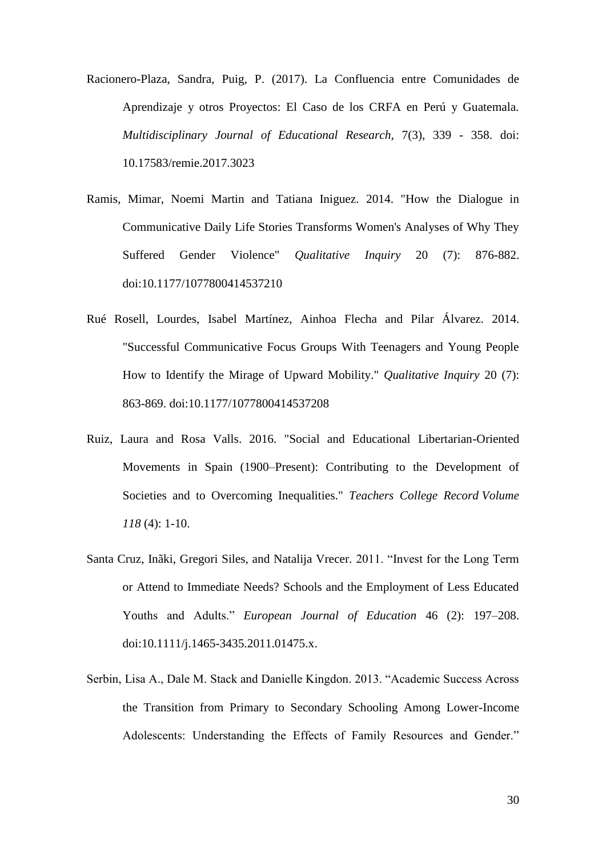- Racionero-Plaza, Sandra, Puig, P. (2017). La Confluencia entre Comunidades de Aprendizaje y otros Proyectos: El Caso de los CRFA en Perú y Guatemala. *Multidisciplinary Journal of Educational Research*, 7(3), 339 - 358. doi: 10.17583/remie.2017.3023
- Ramis, Mimar, Noemi Martin and Tatiana Iniguez. 2014. "How the Dialogue in Communicative Daily Life Stories Transforms Women's Analyses of Why They Suffered Gender Violence" *Qualitative Inquiry* 20 (7): 876-882. [doi:10.1177/1077800414537210](http://dx.doi.org/10.1177/1077800414537210)
- Rué Rosell, Lourdes, Isabel Martínez, Ainhoa Flecha and Pilar Álvarez. 2014. "Successful Communicative Focus Groups With Teenagers and Young People How to Identify the Mirage of Upward Mobility." *Qualitative Inquiry* 20 (7): 863-869. [doi:10.1177/1077800414537208](http://dx.doi.org/10.1177/1077800414537208)
- Ruiz, Laura and Rosa Valls. 2016. "Social and Educational Libertarian-Oriented Movements in Spain (1900–Present): Contributing to the Development of Societies and to Overcoming Inequalities." *Teachers College Record Volume 118* (4): 1-10.
- Santa Cruz, Inãki, Gregori Siles, and Natalija Vrecer. 2011. "Invest for the Long Term or Attend to Immediate Needs? Schools and the Employment of Less Educated Youths and Adults." *European Journal of Education* 46 (2): 197-208. doi:10.1111/j.1465-3435.2011.01475.x.
- Serbin, Lisa A., Dale M. Stack and Danielle Kingdon. 2013. "Academic Success Across the Transition from Primary to Secondary Schooling Among Lower-Income Adolescents: Understanding the Effects of Family Resources and Gender."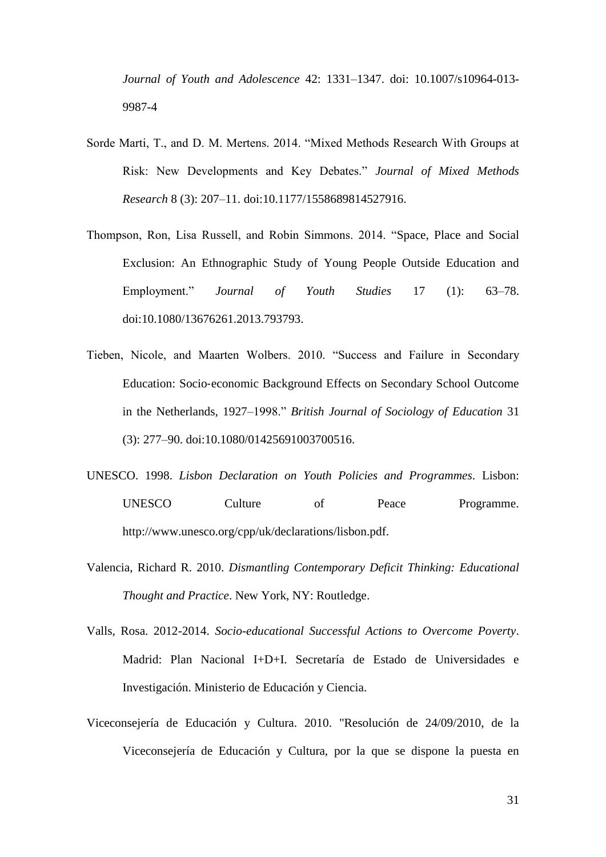*Journal of Youth and Adolescence* 42: 1331–1347. doi: 10.1007/s10964-013- 9987-4

- Sorde Marti, T., and D. M. Mertens. 2014. "Mixed Methods Research With Groups at Risk: New Developments and Key Debates." Journal of Mixed Methods *Research* 8 (3): 207–11. doi:10.1177/1558689814527916.
- Thompson, Ron, Lisa Russell, and Robin Simmons. 2014. "Space, Place and Social Exclusion: An Ethnographic Study of Young People Outside Education and Employment.‖ *Journal of Youth Studies* 17 (1): 63–78. doi:10.1080/13676261.2013.793793.
- Tieben, Nicole, and Maarten Wolbers. 2010. "Success and Failure in Secondary Education: Socio‐economic Background Effects on Secondary School Outcome in the Netherlands, 1927–1998." *British Journal of Sociology of Education* 31 (3): 277–90. doi:10.1080/01425691003700516.
- UNESCO. 1998. *Lisbon Declaration on Youth Policies and Programmes*. Lisbon: UNESCO Culture of Peace Programme. http://www.unesco.org/cpp/uk/declarations/lisbon.pdf.
- Valencia, Richard R. 2010. *Dismantling Contemporary Deficit Thinking: Educational Thought and Practice*. New York, NY: Routledge.
- Valls, Rosa. 2012-2014. *Socio-educational Successful Actions to Overcome Poverty*. Madrid: Plan Nacional I+D+I. Secretaría de Estado de Universidades e Investigación. Ministerio de Educación y Ciencia.
- Viceconsejería de Educación y Cultura. 2010. "Resolución de 24/09/2010, de la Viceconsejería de Educación y Cultura, por la que se dispone la puesta en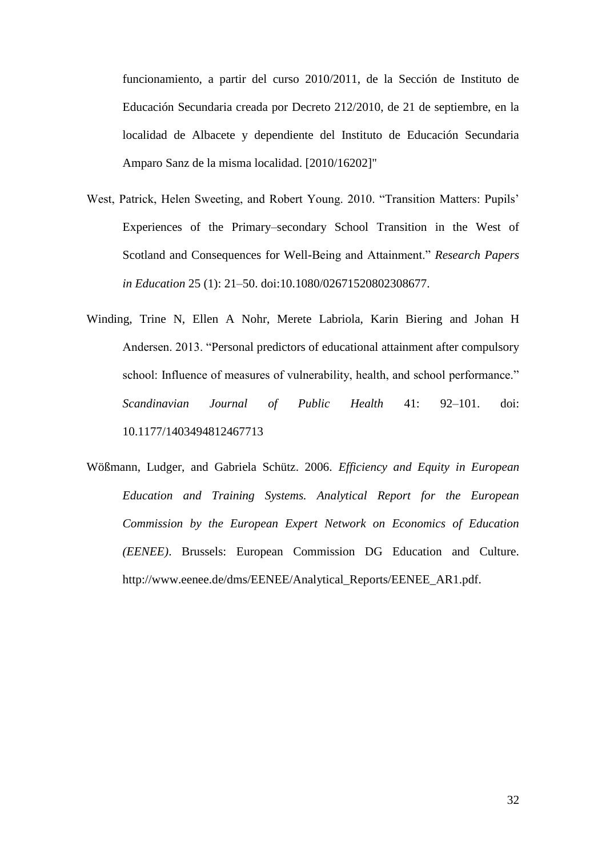funcionamiento, a partir del curso 2010/2011, de la Sección de Instituto de Educación Secundaria creada por Decreto 212/2010, de 21 de septiembre, en la localidad de Albacete y dependiente del Instituto de Educación Secundaria Amparo Sanz de la misma localidad. [2010/16202]"

- West, Patrick, Helen Sweeting, and Robert Young. 2010. "Transition Matters: Pupils' Experiences of the Primary–secondary School Transition in the West of Scotland and Consequences for Well-Being and Attainment." *Research Papers in Education* 25 (1): 21–50. doi:10.1080/02671520802308677.
- Winding, Trine N, Ellen A Nohr, Merete Labriola, Karin Biering and Johan H Andersen. 2013. "Personal predictors of educational attainment after compulsory school: Influence of measures of vulnerability, health, and school performance." *Scandinavian Journal of Public Health* 41: 92–101. doi: 10.1177/1403494812467713
- Wößmann, Ludger, and Gabriela Schütz. 2006. *Efficiency and Equity in European Education and Training Systems. Analytical Report for the European Commission by the European Expert Network on Economics of Education (EENEE)*. Brussels: European Commission DG Education and Culture. http://www.eenee.de/dms/EENEE/Analytical\_Reports/EENEE\_AR1.pdf.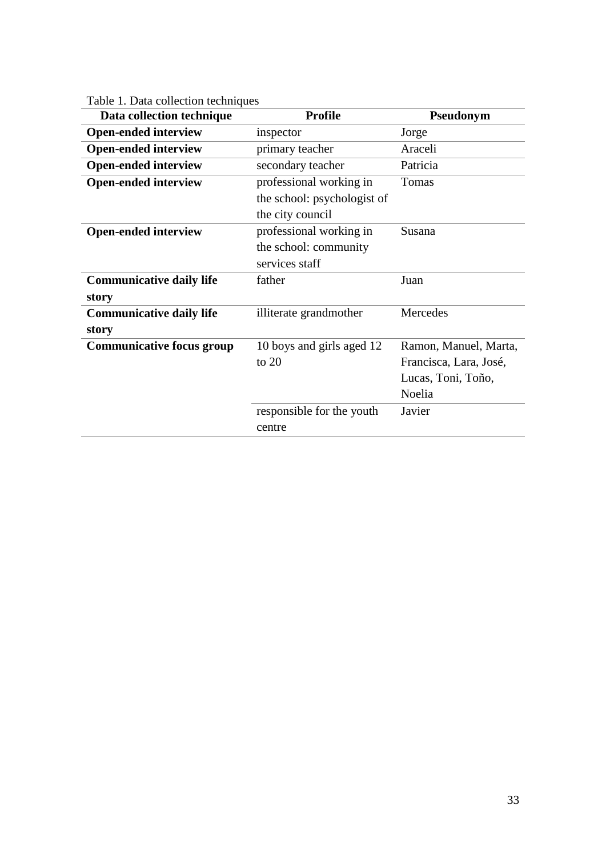| Data collection technique        | <b>Profile</b>              | Pseudonym              |  |
|----------------------------------|-----------------------------|------------------------|--|
| <b>Open-ended interview</b>      | inspector                   | Jorge                  |  |
| <b>Open-ended interview</b>      | primary teacher             | Araceli                |  |
| <b>Open-ended interview</b>      | secondary teacher           | Patricia               |  |
| <b>Open-ended interview</b>      | professional working in     | Tomas                  |  |
|                                  | the school: psychologist of |                        |  |
|                                  | the city council            |                        |  |
| <b>Open-ended interview</b>      | professional working in     | Susana                 |  |
|                                  | the school: community       |                        |  |
|                                  | services staff              |                        |  |
| <b>Communicative daily life</b>  | father                      | Juan                   |  |
| story                            |                             |                        |  |
| <b>Communicative daily life</b>  | illiterate grandmother      | Mercedes               |  |
| story                            |                             |                        |  |
| <b>Communicative focus group</b> | 10 boys and girls aged 12   | Ramon, Manuel, Marta,  |  |
|                                  | to $20$                     | Francisca, Lara, José, |  |
|                                  |                             | Lucas, Toni, Toño,     |  |
|                                  |                             | Noelia                 |  |
|                                  | responsible for the youth   | Javier                 |  |
|                                  | centre                      |                        |  |

Table 1. Data collection techniques